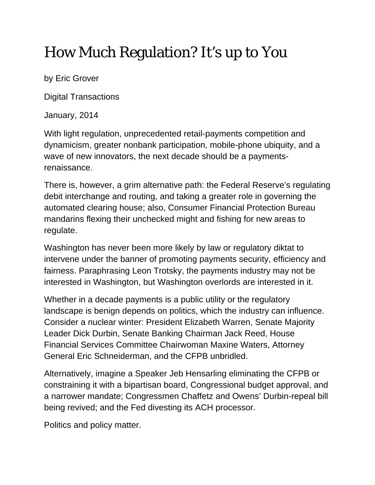## How Much Regulation? It's up to You

by Eric Grover

Digital Transactions

January, 2014

With light regulation, unprecedented retail-payments competition and dynamicism, greater nonbank participation, mobile-phone ubiquity, and a wave of new innovators, the next decade should be a paymentsrenaissance.

There is, however, a grim alternative path: the Federal Reserve's regulating debit interchange and routing, and taking a greater role in governing the automated clearing house; also, Consumer Financial Protection Bureau mandarins flexing their unchecked might and fishing for new areas to regulate.

Washington has never been more likely by law or regulatory diktat to intervene under the banner of promoting payments security, efficiency and fairness. Paraphrasing Leon Trotsky, the payments industry may not be interested in Washington, but Washington overlords are interested in it.

Whether in a decade payments is a public utility or the regulatory landscape is benign depends on politics, which the industry can influence. Consider a nuclear winter: President Elizabeth Warren, Senate Majority Leader Dick Durbin, Senate Banking Chairman Jack Reed, House Financial Services Committee Chairwoman Maxine Waters, Attorney General Eric Schneiderman, and the CFPB unbridled.

Alternatively, imagine a Speaker Jeb Hensarling eliminating the CFPB or constraining it with a bipartisan board, Congressional budget approval, and a narrower mandate; Congressmen Chaffetz and Owens' Durbin-repeal bill being revived; and the Fed divesting its ACH processor.

Politics and policy matter.